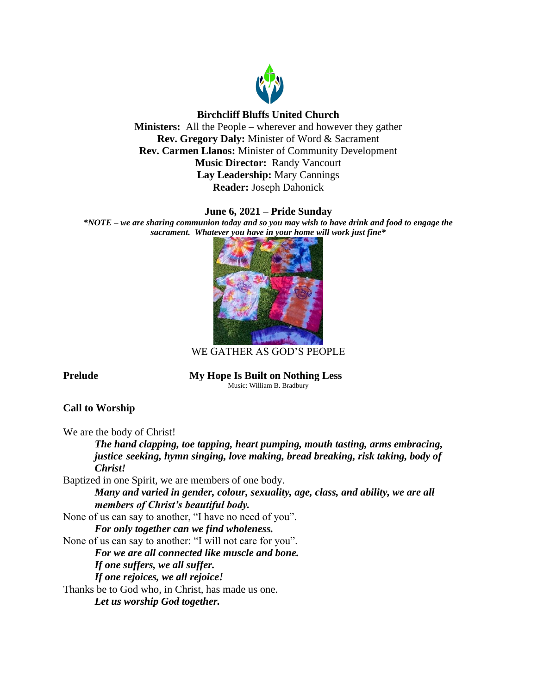

# **Birchcliff Bluffs United Church**

**Ministers:** All the People – wherever and however they gather **Rev. Gregory Daly:** Minister of Word & Sacrament **Rev. Carmen Llanos:** Minister of Community Development **Music Director:** Randy Vancourt **Lay Leadership:** Mary Cannings **Reader:** Joseph Dahonick

# **June 6, 2021 – Pride Sunday**

*\*NOTE – we are sharing communion today and so you may wish to have drink and food to engage the sacrament. Whatever you have in your home will work just fine\**



WE GATHER AS GOD'S PEOPLE

**Prelude My Hope Is Built on Nothing Less** Music: William B. Bradbury

# **Call to Worship**

We are the body of Christ!

*The hand clapping, toe tapping, heart pumping, mouth tasting, arms embracing, justice seeking, hymn singing, love making, bread breaking, risk taking, body of Christ!*

Baptized in one Spirit, we are members of one body.

*Many and varied in gender, colour, sexuality, age, class, and ability, we are all members of Christ's beautiful body.*

None of us can say to another, "I have no need of you". *For only together can we find wholeness.*

None of us can say to another: "I will not care for you".

*For we are all connected like muscle and bone.* 

*If one suffers, we all suffer.* 

*If one rejoices, we all rejoice!*

Thanks be to God who, in Christ, has made us one.

*Let us worship God together.*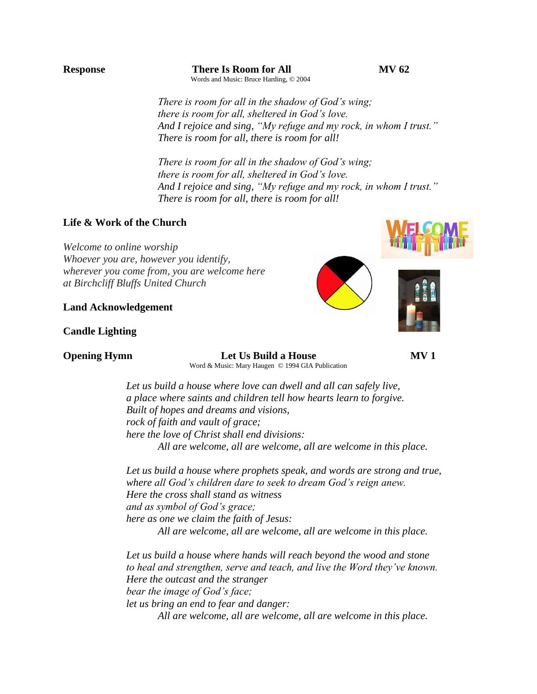**Response There Is Room for All MV 62** Words and Music: Bruce Harding, © 2004

*There is room for all in the shadow of God's wing; there is room for all, sheltered in God's love. And I rejoice and sing, "My refuge and my rock, in whom I trust." There is room for all, there is room for all!*

*There is room for all in the shadow of God's wing; there is room for all, sheltered in God's love. And I rejoice and sing, "My refuge and my rock, in whom I trust." There is room for all, there is room for all!*

## **Life & Work of the Church**

*Welcome to online worship Whoever you are, however you identify, wherever you come from, you are welcome here at Birchcliff Bluffs United Church*

#### **Land Acknowledgement**

## **Candle Lighting**

# **Opening Hymn Let Us Build a House MV 1**

Word & Music: Mary Haugen © 1994 GIA Publication

*Let us build a house where love can dwell and all can safely live, a place where saints and children tell how hearts learn to forgive. Built of hopes and dreams and visions, rock of faith and vault of grace; here the love of Christ shall end divisions: All are welcome, all are welcome, all are welcome in this place.*

*Let us build a house where prophets speak, and words are strong and true, where all God's children dare to seek to dream God's reign anew. Here the cross shall stand as witness and as symbol of God's grace; here as one we claim the faith of Jesus: All are welcome, all are welcome, all are welcome in this place.*

*Let us build a house where hands will reach beyond the wood and stone to heal and strengthen, serve and teach, and live the Word they've known. Here the outcast and the stranger bear the image of God's face; let us bring an end to fear and danger: All are welcome, all are welcome, all are welcome in this place.*

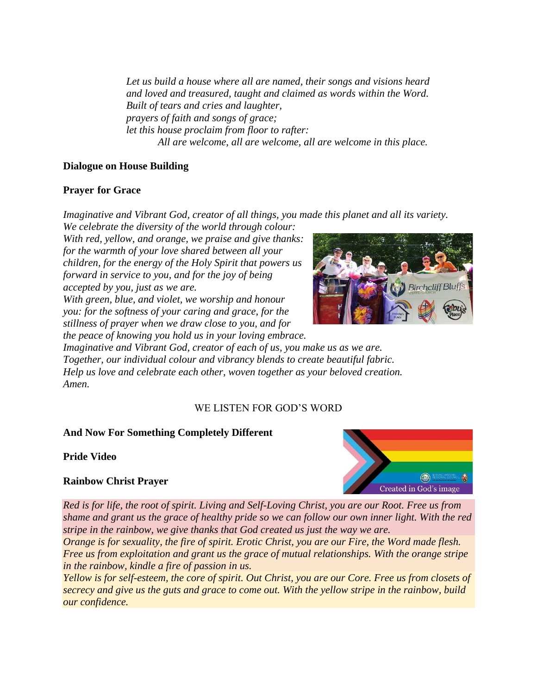*Let us build a house where all are named, their songs and visions heard and loved and treasured, taught and claimed as words within the Word. Built of tears and cries and laughter, prayers of faith and songs of grace; let this house proclaim from floor to rafter: All are welcome, all are welcome, all are welcome in this place.*

# **Dialogue on House Building**

# **Prayer for Grace**

*Imaginative and Vibrant God, creator of all things, you made this planet and all its variety. We celebrate the diversity of the world through colour:*

*With red, yellow, and orange, we praise and give thanks: for the warmth of your love shared between all your children, for the energy of the Holy Spirit that powers us forward in service to you, and for the joy of being accepted by you, just as we are.*

*With green, blue, and violet, we worship and honour you: for the softness of your caring and grace, for the stillness of prayer when we draw close to you, and for* 



**Birchcliff Bluffs** 

*Imaginative and Vibrant God, creator of each of us, you make us as we are. Together, our individual colour and vibrancy blends to create beautiful fabric. Help us love and celebrate each other, woven together as your beloved creation. Amen.*

# WE LISTEN FOR GOD'S WORD

# **And Now For Something Completely Different**

**Pride Video**

# **Rainbow Christ Prayer**



*Red is for life, the root of spirit. Living and Self-Loving Christ, you are our Root. Free us from shame and grant us the grace of healthy pride so we can follow our own inner light. With the red stripe in the rainbow, we give thanks that God created us just the way we are.*

*Orange is for sexuality, the fire of spirit. Erotic Christ, you are our Fire, the Word made flesh. Free us from exploitation and grant us the grace of mutual relationships. With the orange stripe in the rainbow, kindle a fire of passion in us.*

*Yellow is for self-esteem, the core of spirit. Out Christ, you are our Core. Free us from closets of secrecy and give us the guts and grace to come out. With the yellow stripe in the rainbow, build our confidence.*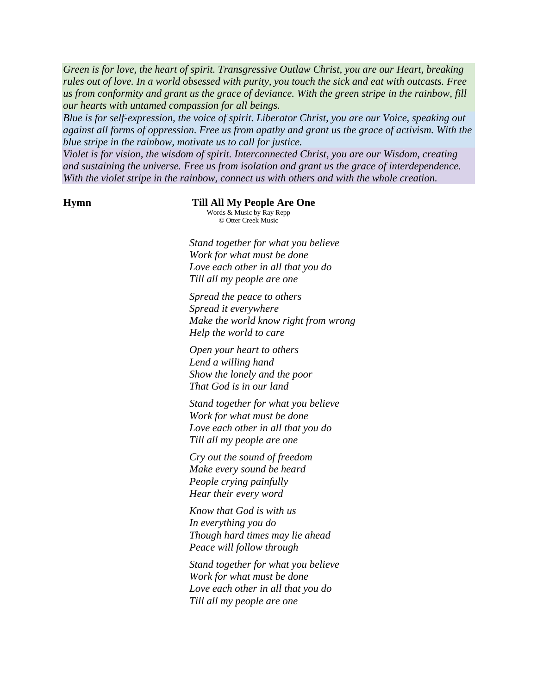*Green is for love, the heart of spirit. Transgressive Outlaw Christ, you are our Heart, breaking rules out of love. In a world obsessed with purity, you touch the sick and eat with outcasts. Free us from conformity and grant us the grace of deviance. With the green stripe in the rainbow, fill our hearts with untamed compassion for all beings.*

*Blue is for self-expression, the voice of spirit. Liberator Christ, you are our Voice, speaking out against all forms of oppression. Free us from apathy and grant us the grace of activism. With the blue stripe in the rainbow, motivate us to call for justice.*

*Violet is for vision, the wisdom of spirit. Interconnected Christ, you are our Wisdom, creating and sustaining the universe. Free us from isolation and grant us the grace of interdependence. With the violet stripe in the rainbow, connect us with others and with the whole creation.*

#### **Hymn** Till All My People Are One

Words & Music by Ray Repp © Otter Creek Music

*Stand together for what you believe Work for what must be done Love each other in all that you do Till all my people are one*

 *Spread the peace to others Spread it everywhere Make the world know right from wrong Help the world to care*

*Open your heart to others Lend a willing hand Show the lonely and the poor That God is in our land*

*Stand together for what you believe Work for what must be done Love each other in all that you do Till all my people are one*

 *Cry out the sound of freedom Make every sound be heard People crying painfully Hear their every word*

 *Know that God is with us In everything you do Though hard times may lie ahead Peace will follow through*

*Stand together for what you believe Work for what must be done Love each other in all that you do Till all my people are one*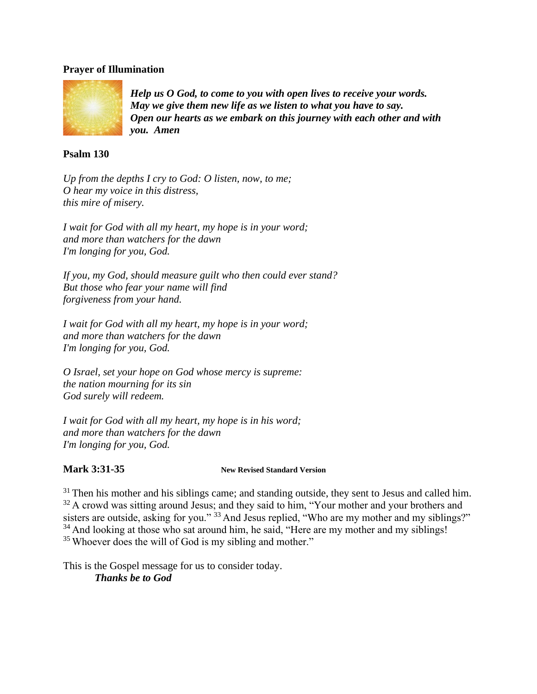# **Prayer of Illumination**



*Help us O God, to come to you with open lives to receive your words. May we give them new life as we listen to what you have to say. Open our hearts as we embark on this journey with each other and with you. Amen*

# **Psalm 130**

*Up from the depths I cry to God: O listen, now, to me; O hear my voice in this distress, this mire of misery.*

*I wait for God with all my heart, my hope is in your word; and more than watchers for the dawn I'm longing for you, God.*

*If you, my God, should measure guilt who then could ever stand? But those who fear your name will find forgiveness from your hand.* 

*I wait for God with all my heart, my hope is in your word; and more than watchers for the dawn I'm longing for you, God.*

*O Israel, set your hope on God whose mercy is supreme: the nation mourning for its sin God surely will redeem.*

*I wait for God with all my heart, my hope is in his word; and more than watchers for the dawn I'm longing for you, God.*

## **Mark 3:31-35 New Revised Standard Version**

 $31$  Then his mother and his siblings came; and standing outside, they sent to Jesus and called him.  $32$  A crowd was sitting around Jesus; and they said to him, "Your mother and your brothers and sisters are outside, asking for you." <sup>33</sup> And Jesus replied, "Who are my mother and my siblings?" <sup>34</sup> And looking at those who sat around him, he said, "Here are my mother and my siblings! <sup>35</sup> Whoever does the will of God is my sibling and mother."

This is the Gospel message for us to consider today. *Thanks be to God*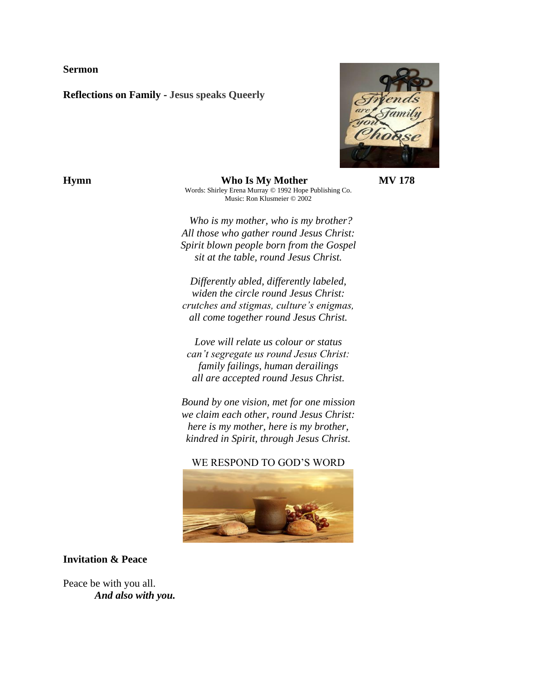**Sermon**

**Reflections on Family - Jesus speaks Queerly**



**Hymn Who Is My Mother <b>MV 178** Words: Shirley Erena Murray © 1992 Hope Publishing Co. Music: Ron Klusmeier © 2002

> *Who is my mother, who is my brother? All those who gather round Jesus Christ: Spirit blown people born from the Gospel sit at the table, round Jesus Christ.*

*Differently abled, differently labeled, widen the circle round Jesus Christ: crutches and stigmas, culture's enigmas, all come together round Jesus Christ.*

*Love will relate us colour or status can't segregate us round Jesus Christ: family failings, human derailings all are accepted round Jesus Christ.*

*Bound by one vision, met for one mission we claim each other, round Jesus Christ: here is my mother, here is my brother, kindred in Spirit, through Jesus Christ.*

WE RESPOND TO GOD'S WORD



# **Invitation & Peace**

Peace be with you all. *And also with you.*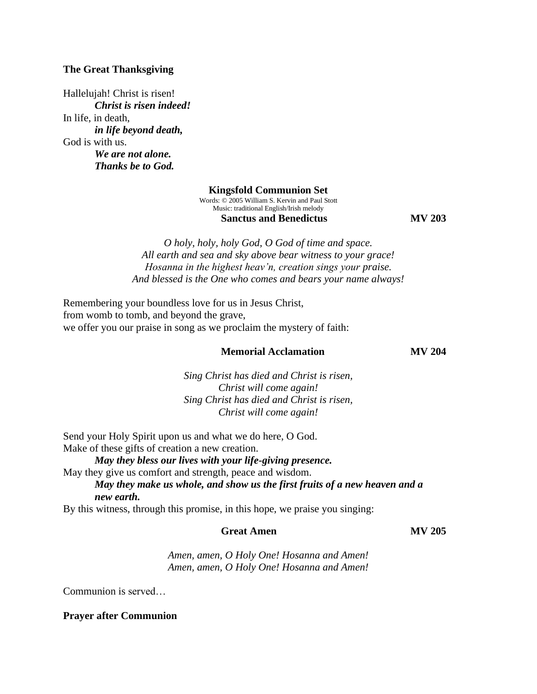# **The Great Thanksgiving**

Hallelujah! Christ is risen! *Christ is risen indeed!*  In life, in death, *in life beyond death,*  God is with us. *We are not alone. Thanks be to God.* 

#### **Kingsfold Communion Set**

Words: © 2005 William S. Kervin and Paul Stott Music: traditional English/Irish melody **Sanctus and Benedictus MV 203** 

*O holy, holy, holy God, O God of time and space. All earth and sea and sky above bear witness to your grace! Hosanna in the highest heav'n, creation sings your praise. And blessed is the One who comes and bears your name always!*

Remembering your boundless love for us in Jesus Christ, from womb to tomb, and beyond the grave, we offer you our praise in song as we proclaim the mystery of faith:

## **Memorial Acclamation MV 204**

*Sing Christ has died and Christ is risen, Christ will come again! Sing Christ has died and Christ is risen, Christ will come again!*

Send your Holy Spirit upon us and what we do here, O God. Make of these gifts of creation a new creation.

*May they bless our lives with your life-giving presence.*  May they give us comfort and strength, peace and wisdom.

*May they make us whole, and show us the first fruits of a new heaven and a new earth.* 

By this witness, through this promise, in this hope, we praise you singing:

## **Great Amen MV 205**

*Amen, amen, O Holy One! Hosanna and Amen! Amen, amen, O Holy One! Hosanna and Amen!*

Communion is served…

#### **Prayer after Communion**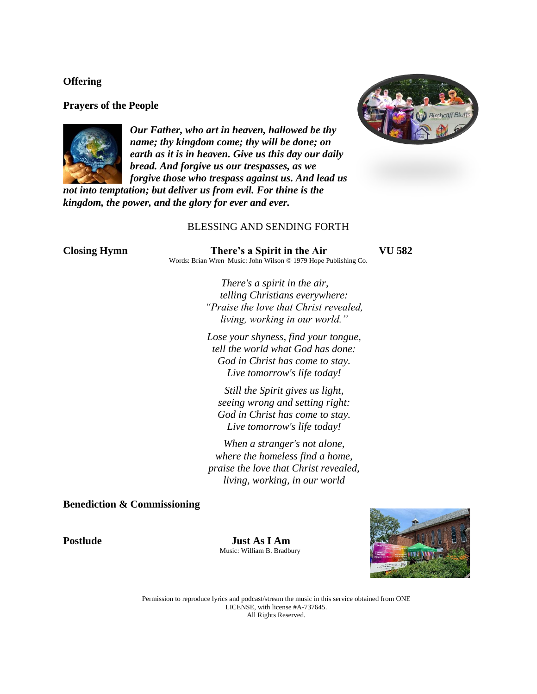### **Offering**

### **Prayers of the People**



*Our Father, who art in heaven, hallowed be thy name; thy kingdom come; thy will be done; on earth as it is in heaven. Give us this day our daily bread. And forgive us our trespasses, as we forgive those who trespass against us. And lead us* 

*not into temptation; but deliver us from evil. For thine is the kingdom, the power, and the glory for ever and ever.* 

## BLESSING AND SENDING FORTH

| <b>Closing Hymn</b> | There's a Spirit in the Air                                     | 582 |
|---------------------|-----------------------------------------------------------------|-----|
|                     | Words: Brian Wren Music: John Wilson © 1979 Hope Publishing Co. |     |
|                     | There's a spirit in the air,                                    |     |
|                     | telling Christians everywhere:                                  |     |
|                     | "Praise the love that Christ revealed,                          |     |
|                     | living, working in our world."                                  |     |
|                     | Lose your shyness, find your tongue,                            |     |
|                     | tell the world what God has done:                               |     |
|                     | God in Christ has come to stay.                                 |     |
|                     | Live tomorrow's life today!                                     |     |
|                     |                                                                 |     |

 *Still the Spirit gives us light, seeing wrong and setting right: God in Christ has come to stay. Live tomorrow's life today!*

 *When a stranger's not alone, where the homeless find a home, praise the love that Christ revealed, living, working, in our world*

#### **Benediction & Commissioning**

Postlude **Just As I Am** Music: William B. Bradbury



Permission to reproduce lyrics and podcast/stream the music in this service obtained from ONE LICENSE, with license #A-737645. All Rights Reserved.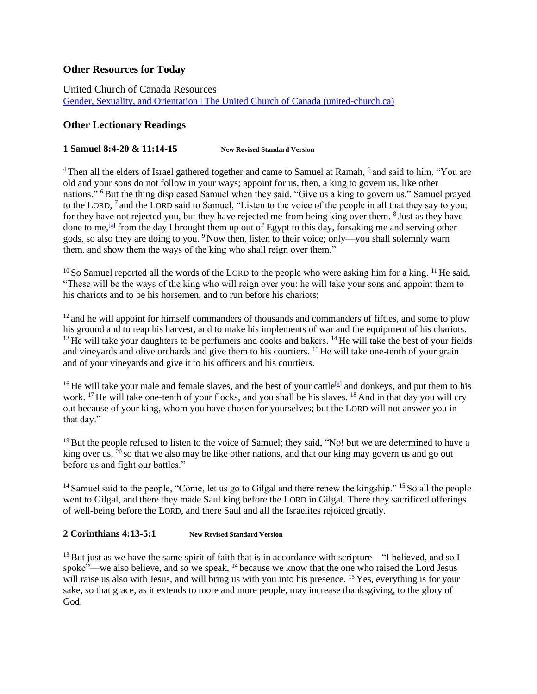# **Other Resources for Today**

United Church of Canada Resources [Gender, Sexuality, and Orientation | The United Church of Canada \(united-church.ca\)](https://united-church.ca/community-and-faith/being-community/gender-sexuality-and-orientation)

# **Other Lectionary Readings**

#### **1 Samuel 8:4-20 & 11:14-15 New Revised Standard Version**

<sup>4</sup> Then all the elders of Israel gathered together and came to Samuel at Ramah, <sup>5</sup> and said to him, "You are old and your sons do not follow in your ways; appoint for us, then, a king to govern us, like other nations." <sup>6</sup>But the thing displeased Samuel when they said, "Give us a king to govern us." Samuel prayed to the LORD, <sup>7</sup> and the LORD said to Samuel, "Listen to the voice of the people in all that they say to you; for they have not rejected you, but they have rejected me from being king over them. <sup>8</sup> Just as they have done to me,<sup>[\[a\]](https://www.biblegateway.com/passage/?search=1+Samuel+8%3A4-11%2C+%2812-15%29%2C+16-20%2C+%2811%3A14-15%29&version=NRSV#fen-NRSV-7378a)</sup> from the day I brought them up out of Egypt to this day, forsaking me and serving other gods, so also they are doing to you. <sup>9</sup> Now then, listen to their voice; only—you shall solemnly warn them, and show them the ways of the king who shall reign over them."

 $10$  So Samuel reported all the words of the LORD to the people who were asking him for a king.  $11$  He said, "These will be the ways of the king who will reign over you: he will take your sons and appoint them to his chariots and to be his horsemen, and to run before his chariots;

<sup>12</sup> and he will appoint for himself commanders of thousands and commanders of fifties, and some to plow his ground and to reap his harvest, and to make his implements of war and the equipment of his chariots. <sup>13</sup> He will take your daughters to be perfumers and cooks and bakers. <sup>14</sup> He will take the best of your fields and vineyards and olive orchards and give them to his courtiers. <sup>15</sup> He will take one-tenth of your grain and of your vineyards and give it to his officers and his courtiers.

<sup>16</sup> He will take your male and female slaves, and the best of your cattle<sup>[\[a\]](https://www.biblegateway.com/passage/?search=1+Samuel+8%3A4-11%2C+%2812-15%29%2C+16-20%2C+%2811%3A14-15%29&version=NRSV#fen-NRSV-7386a)</sup> and donkeys, and put them to his work. <sup>17</sup> He will take one-tenth of your flocks, and you shall be his slaves. <sup>18</sup> And in that day you will cry out because of your king, whom you have chosen for yourselves; but the LORD will not answer you in that day."

<sup>19</sup> But the people refused to listen to the voice of Samuel; they said, "No! but we are determined to have a king over us, <sup>20</sup> so that we also may be like other nations, and that our king may govern us and go out before us and fight our battles."

<sup>14</sup> Samuel said to the people, "Come, let us go to Gilgal and there renew the kingship." <sup>15</sup> So all the people went to Gilgal, and there they made Saul king before the LORD in Gilgal. There they sacrificed offerings of well-being before the LORD, and there Saul and all the Israelites rejoiced greatly.

## **2 Corinthians 4:13-5:1 New Revised Standard Version**

<sup>13</sup> But just as we have the same spirit of faith that is in accordance with scripture—"I believed, and so I spoke"—we also believe, and so we speak, <sup>14</sup> because we know that the one who raised the Lord Jesus will raise us also with Jesus, and will bring us with you into his presence. <sup>15</sup> Yes, everything is for your sake, so that grace, as it extends to more and more people, may increase thanksgiving, to the glory of God.